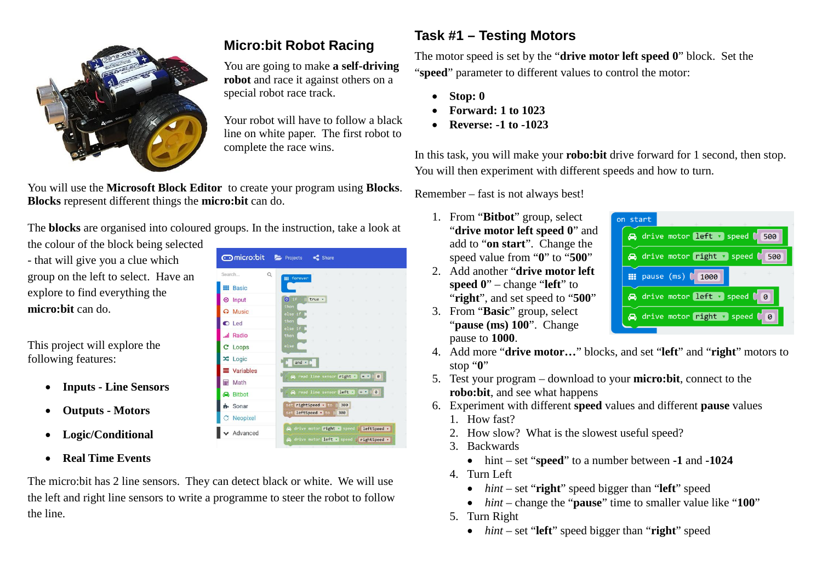## **Micro:bit Robot Racing**

You are going to make **a self-driving robot** and race it against others on a special robot race track.

Your robot will have to follow a black line on white paper. The first robot to complete the race wins.

You will use the **Microsoft Block Editor** to create your program using **Blocks**. **Blocks** represent different things the **micro:bit** can do.

The **blocks** are organised into coloured groups. In the instruction, take a look at

Search..

**EE** Rasic

 $\odot$  Input

 $\Omega$  Music

■ Variables

**■** Math

**Bitbot i**-Sonar

**Neopixel** 

 $\blacktriangleright$  Advanced

 $O$  Led ull Radio C Loops  $x^2$  Logic

the colour of the block being selected - that will give you a clue which group on the left to select. Have an explore to find everything the **micro:bit** can do.

This project will explore the following features:

- **Inputs - Line Sensors**
- **Outputs - Motors**
- **Logic/Conditional**
- **Real Time Events**



# ← micro:bit → Projects < Share  $\circ$  $true$   $\rightarrow$ and + C  $\bigoplus$  read line sensor **left**  $\cdot$   $\bigoplus$   $\bigoplus$

300

e motor right, speed a leftSpeed .

e motor left . speed arightSpeed .

300

rightSpeed + to

leftSpeed . to

### **Task #1 – Testing Motors**

The motor speed is set by the "**drive motor left speed 0**" block. Set the "**speed**" parameter to different values to control the motor:

- **Stop: 0**
- **Forward: 1 to 1023**
- **Reverse: -1 to -1023**

In this task, you will make your **robo:bit** drive forward for 1 second, then stop. You will then experiment with different speeds and how to turn.

Remember – fast is not always best!

- 1. From "**Bitbot**" group, select "**drive motor left speed 0**" and add to "**on start**". Change the speed value from "**0**" to "**500**"
- 2. Add another "**drive motor left speed 0**" – change "**left**" to "**right**", and set speed to "**500**"
- 3. From "**Basic**" group, select "**pause (ms) 100**". Change pause to **1000**.



- 4. Add more "**drive motor…**" blocks, and set "**left**" and "**right**" motors to stop "**0**"
- 5. Test your program download to your **micro:bit**, connect to the **robo:bit**, and see what happens
- 6. Experiment with different **speed** values and different **pause** values
	- 1. How fast?
	- 2. How slow? What is the slowest useful speed?
	- 3. Backwards
		- hint set "**speed**" to a number between **-1** and **-1024**
	- 4. Turn Left
		- *hint* set "**right**" speed bigger than "**left**" speed
		- *hint* change the "**pause**" time to smaller value like "**100**"
	- 5. Turn Right
		- *hint* set "**left**" speed bigger than "**right**" speed